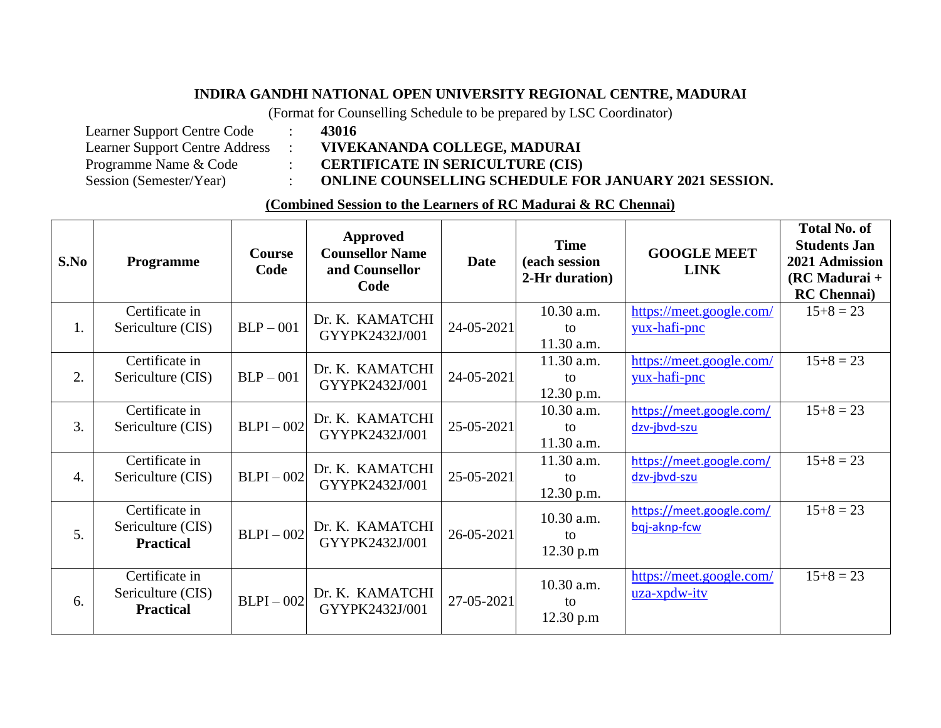## **INDIRA GANDHI NATIONAL OPEN UNIVERSITY REGIONAL CENTRE, MADURAI**

(Format for Counselling Schedule to be prepared by LSC Coordinator)

| <b>Learner Support Centre Code</b>    |
|---------------------------------------|
| <b>Learner Support Centre Address</b> |
| Programme Name & Code                 |
| Session (Semester/Year)               |

Learner Support Centre Address : **VIVEKANANDA COLLEGE, MADURAI**

Programme Name & Code : **CERTIFICATE IN SERICULTURE (CIS)**

Session (Semester/Year) : **ONLINE COUNSELLING SCHEDULE FOR JANUARY 2021 SESSION.** 

## **(Combined Session to the Learners of RC Madurai & RC Chennai)**

| S.No             | Programme                                               | <b>Course</b><br>Code | <b>Approved</b><br><b>Counsellor Name</b><br>and Counsellor<br>Code | <b>Date</b> | <b>Time</b><br>(each session<br>2-Hr duration) | <b>GOOGLE MEET</b><br><b>LINK</b>        | <b>Total No. of</b><br><b>Students Jan</b><br>2021 Admission<br>$(RCMadurai +$<br><b>RC</b> Chennai) |
|------------------|---------------------------------------------------------|-----------------------|---------------------------------------------------------------------|-------------|------------------------------------------------|------------------------------------------|------------------------------------------------------------------------------------------------------|
| 1.               | Certificate in<br>Sericulture (CIS)                     | $BLP - 001$           | Dr. K. KAMATCHI<br>GYYPK2432J/001                                   | 24-05-2021  | 10.30 a.m.<br>to<br>11.30 a.m.                 | https://meet.google.com/<br>yux-hafi-pnc | $15+8=23$                                                                                            |
| 2.               | Certificate in<br>Sericulture (CIS)                     | $BLP - 001$           | Dr. K. KAMATCHI<br>GYYPK2432J/001                                   | 24-05-2021  | 11.30 a.m.<br>to<br>12.30 p.m.                 | https://meet.google.com/<br>yux-hafi-pnc | $15+8=23$                                                                                            |
| 3.               | Certificate in<br>Sericulture (CIS)                     | $BLPI - 002$          | Dr. K. KAMATCHI<br>GYYPK2432J/001                                   | 25-05-2021  | 10.30 a.m.<br>to<br>11.30 a.m.                 | https://meet.google.com/<br>dzv-jbvd-szu | $15+8=23$                                                                                            |
| $\overline{4}$ . | Certificate in<br>Sericulture (CIS)                     | $BLPI - 002$          | Dr. K. KAMATCHI<br>GYYPK2432J/001                                   | 25-05-2021  | 11.30 a.m.<br>to<br>12.30 p.m.                 | https://meet.google.com/<br>dzv-jbvd-szu | $15+8=23$                                                                                            |
| 5.               | Certificate in<br>Sericulture (CIS)<br><b>Practical</b> | $BLPI - 002$          | Dr. K. KAMATCHI<br>GYYPK2432J/001                                   | 26-05-2021  | 10.30 a.m.<br>to<br>12.30 p.m                  | https://meet.google.com/<br>bqj-aknp-fcw | $15+8=23$                                                                                            |
| 6.               | Certificate in<br>Sericulture (CIS)<br><b>Practical</b> | $BLPI - 002$          | Dr. K. KAMATCHI<br>GYYPK2432J/001                                   | 27-05-2021  | 10.30 a.m.<br>to<br>12.30 p.m                  | https://meet.google.com/<br>uza-xpdw-itv | $15+8=23$                                                                                            |

 $: 43016$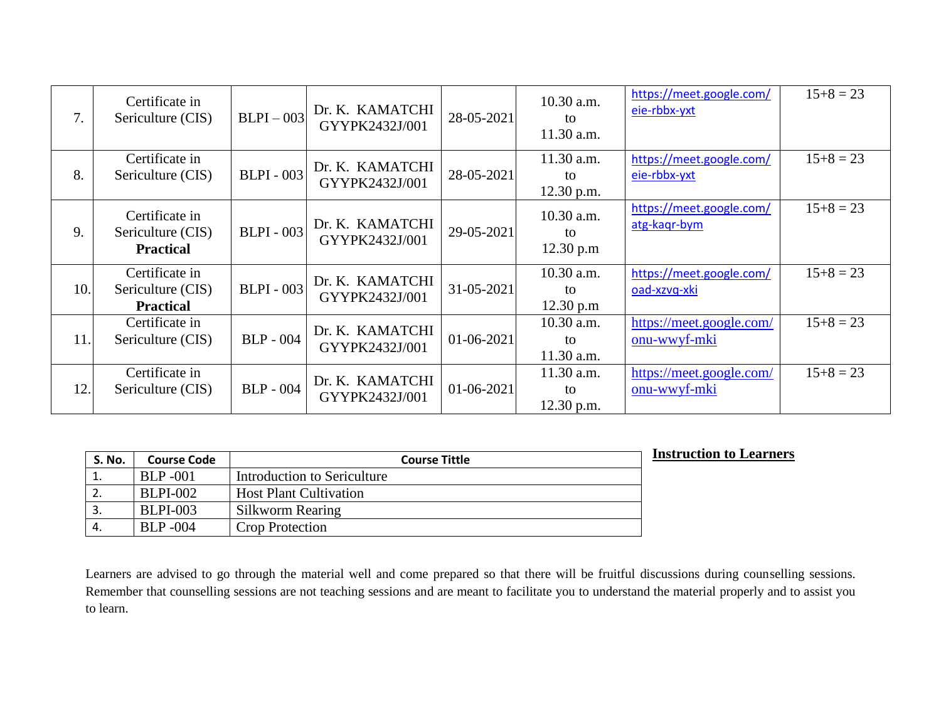| 7.  | Certificate in<br>Sericulture (CIS)                     | $BLPI - 003$      | Dr. K. KAMATCHI<br>GYYPK2432J/001 | 28-05-2021   | 10.30 a.m.<br>to<br>11.30 a.m.   | https://meet.google.com/<br>eie-rbbx-yxt | $15+8=23$ |
|-----|---------------------------------------------------------|-------------------|-----------------------------------|--------------|----------------------------------|------------------------------------------|-----------|
| 8.  | Certificate in<br>Sericulture (CIS)                     | <b>BLPI</b> - 003 | Dr. K. KAMATCHI<br>GYYPK2432J/001 | 28-05-2021   | 11.30 a.m.<br>to<br>$12.30$ p.m. | https://meet.google.com/<br>eie-rbbx-yxt | $15+8=23$ |
| 9.  | Certificate in<br>Sericulture (CIS)<br><b>Practical</b> | <b>BLPI</b> - 003 | Dr. K. KAMATCHI<br>GYYPK2432J/001 | 29-05-2021   | 10.30 a.m.<br>to<br>12.30 p.m    | https://meet.google.com/<br>atg-kagr-bym | $15+8=23$ |
| 10. | Certificate in<br>Sericulture (CIS)<br><b>Practical</b> | <b>BLPI</b> - 003 | Dr. K. KAMATCHI<br>GYYPK2432J/001 | 31-05-2021   | 10.30 a.m.<br>to<br>12.30 p.m    | https://meet.google.com/<br>oad-xzvq-xki | $15+8=23$ |
| 11. | Certificate in<br>Sericulture (CIS)                     | <b>BLP</b> - 004  | Dr. K. KAMATCHI<br>GYYPK2432J/001 | 01-06-2021   | 10.30 a.m.<br>to<br>$11.30$ a.m. | https://meet.google.com/<br>onu-wwyf-mki | $15+8=23$ |
| 12. | Certificate in<br>Sericulture (CIS)                     | <b>BLP</b> - 004  | Dr. K. KAMATCHI<br>GYYPK2432J/001 | $01-06-2021$ | $11.30$ a.m.<br>to<br>12.30 p.m. | https://meet.google.com/<br>onu-wwyf-mki | $15+8=23$ |

| <b>S. No.</b> | <b>Course Code</b> | <b>Course Tittle</b>          | <b>Instruction to Learners</b> |
|---------------|--------------------|-------------------------------|--------------------------------|
| ∸.            | <b>BLP</b> -001    | Introduction to Sericulture   |                                |
| 2.            | <b>BLPI-002</b>    | <b>Host Plant Cultivation</b> |                                |
| 3.            | <b>BLPI-003</b>    | Silkworm Rearing              |                                |
|               | <b>BLP</b> -004    | <b>Crop Protection</b>        |                                |

Learners are advised to go through the material well and come prepared so that there will be fruitful discussions during counselling sessions. Remember that counselling sessions are not teaching sessions and are meant to facilitate you to understand the material properly and to assist you to learn.